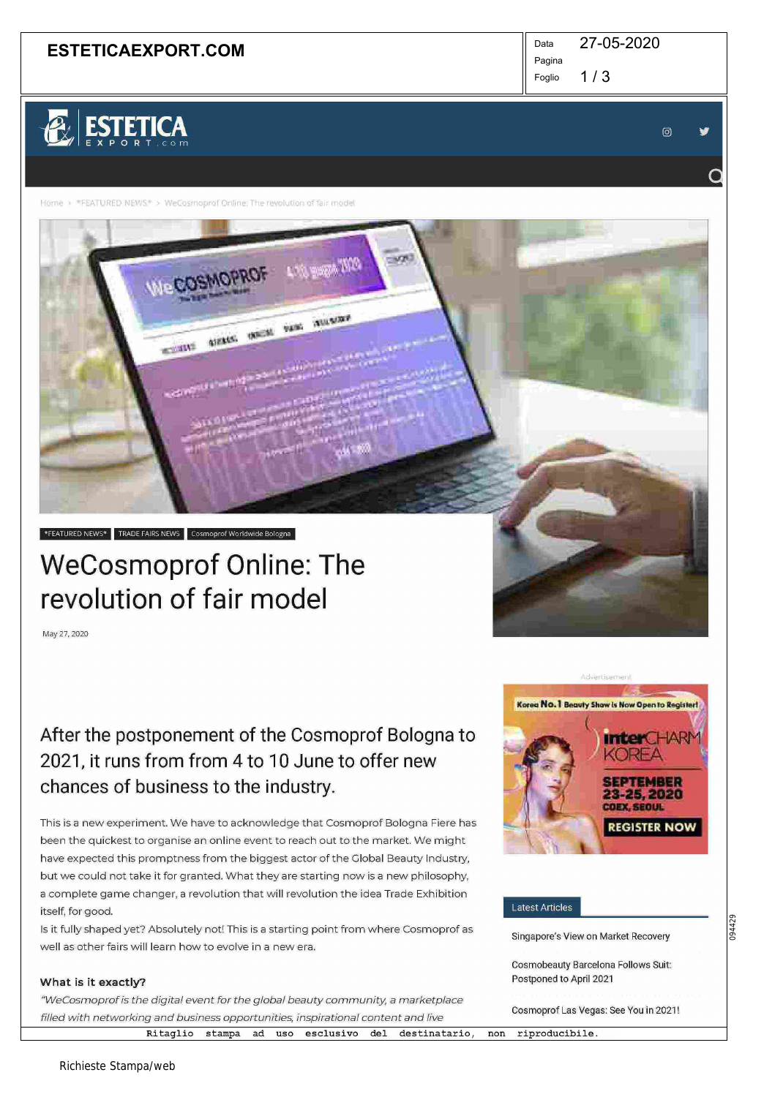## **ESTETICAEXPORT.COM**  $\parallel$ <sup>Data</sup>

27-05-2020

 $1/3$ Pagina Foglio

# ESTETICA

© ~•

 $\overline{\mathsf{Q}}$ 

Home > \*FEATURED NEWS\* > WeCosmoprof Online: The revolution of fair mode

WeCOSMOPRO

**WELK** 

**ATELLOR** 

LON WORK WAS

**OUTER SERVITORY** 

## \*FEATURED NEWS\* TRADE FAIRS NEWS Cosmoprof Worldwide Bologna

## WeCosmoprof online: The revolution of fair model

May 27, 2020

## After the postponement of the Cosmoprof Bologna to 2021, it runs from from 4 to 10 June to offer new chances of business to the industry.

This is a new experiment. We have to acknowledge that Cosmoprof Bologna Fiere has been the quickest to organise an online event to reach out to the market. We might have expected this promptness from the biggest actor of the Global Beauty Industry, but we could not take it for granted. What they are starting now is a new philosophy, a complete game changer, a revolution that will revolution the idea Trade Exhibition itself, for good.

Is it fully shaped yet? Absolutely not! This is a starting point from where Cosmoprof as well as other fairs will learn how to evolve in a new era.

### What is it exactly?

"WeCosmoprof is the digital event for the global beauty community, a marketplace filled with networking and business opportunities, inspirational content and live

Ritaglio stampa ad uso esclusivo del destinatario, non riproducibile.



#### Latest Articles

Singapore's View on Market Recovery

094429

Cosmobeauty Barcelona Follows Suit: Postponed to April 2021

Cosmoprof Las Vegas: See You in 2021!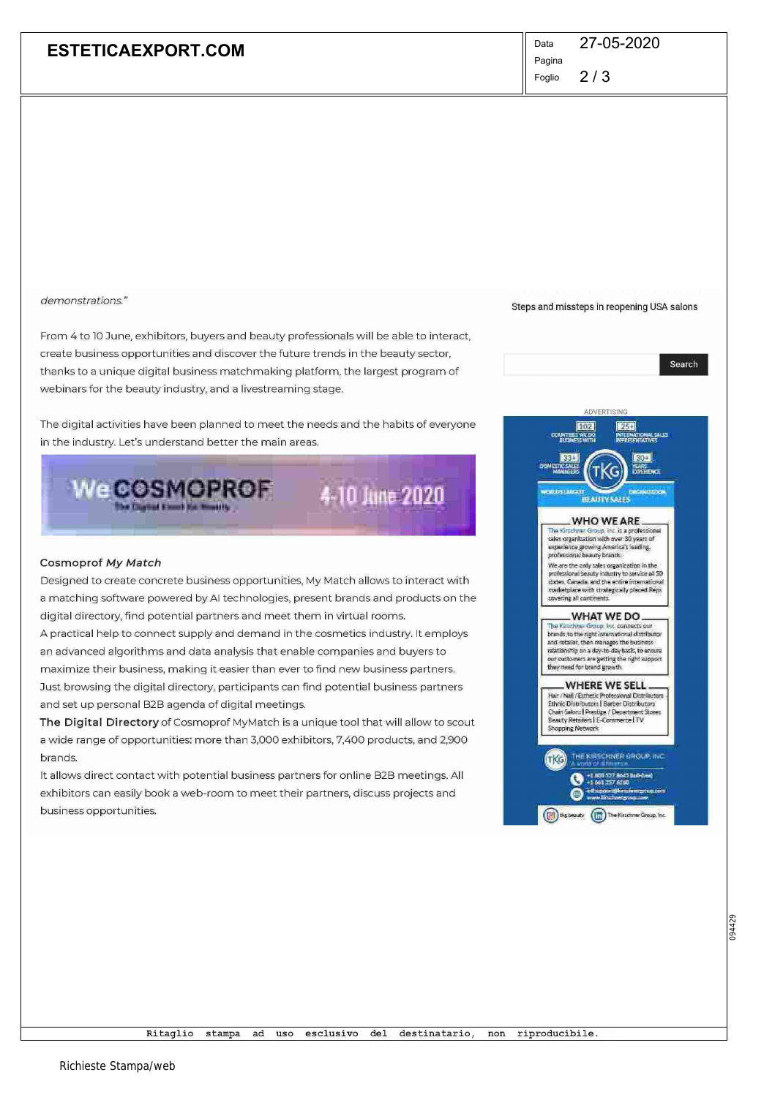## **ESTETICAEXPORT.COM**

Data 27-05-2020 Pagina

Steps and missteps in reopening USA salons

Search

 $2/3$ Foglio

demonstrations."

From 4 to 10 June, exhibitors, buyers and beauty professionals will be able to interact, create business opportunities and discover the future trends in the beauty sector, thanks to a unique digital business matchmaking platform, the largest program of webinars for the beauty industry, and a livestreaming stage.

The digital activities have been planned to meet the needs and the habits of everyone in the industry. Let's understand better the main areas.



#### Cosmoprof My Match

Designed to create concrete business opportunities, My Match allows to interact with a matching software powered by AI technologies, present brands and products on the digital directory, find potential partners and meet them in virtual rooms. A practical help to connect supply and demand in the cosmetics industry. It employs an advanced algorithms and data analysis that enable companies and buyers to maximize their business, making it easier than ever to find new business partners. Just browsing the digital directory, participants can find potential business partners and set up personal B2B agenda of digital meetings.

The Digital Directory of Cosmoprof MyMatch is a unique tool that will allow to scout a wide range of opportunities: more than 3,000 exhibitors, 7,400 products, and 2,900 brands.

It allows direct contact with potential business partners for online B2B meetings. All exhibitors can easily book a web-room to meet their partners, discuss projects and business opportunities.

ADVERTISING 102  $25 +$ **CRUITE ASSAS COLLASTATION MAUTY SALE WHO WE ARE** The Kinschnung Group, Inc. is a profession<br>sales organization with over 30 years of experience growing Anvertra's leading.<br>professional beauty brands: We are the only sales organization in the<br>professional beauty industry to service all 50<br>states, Canada, and the entire international marketplace with strategically placed Reps covering all continents. WHAT WE DO. The Kin The Kimchher Group, Inc. connects our<br>brands to the right international distributor and retailer, then manages the business<br>relationship on a day-to-day back, to ensure our customers are getting the right support<br>they meed for brand growth. WHERE WE SELL Hair / Nail / Esthetic Professional Distributors<br>Ethnic Distributors | Barber Distributors Chain Salors | Prestige / Department<br>| Beauty Retailers | E-Commerce | TV<br>| Shopping Network ot Stores HE KIRSCHNER GROUP, INC TKG +1 MOD 527 84475 fte a (a) the beauty (In) The Kirschner Group, Inc.